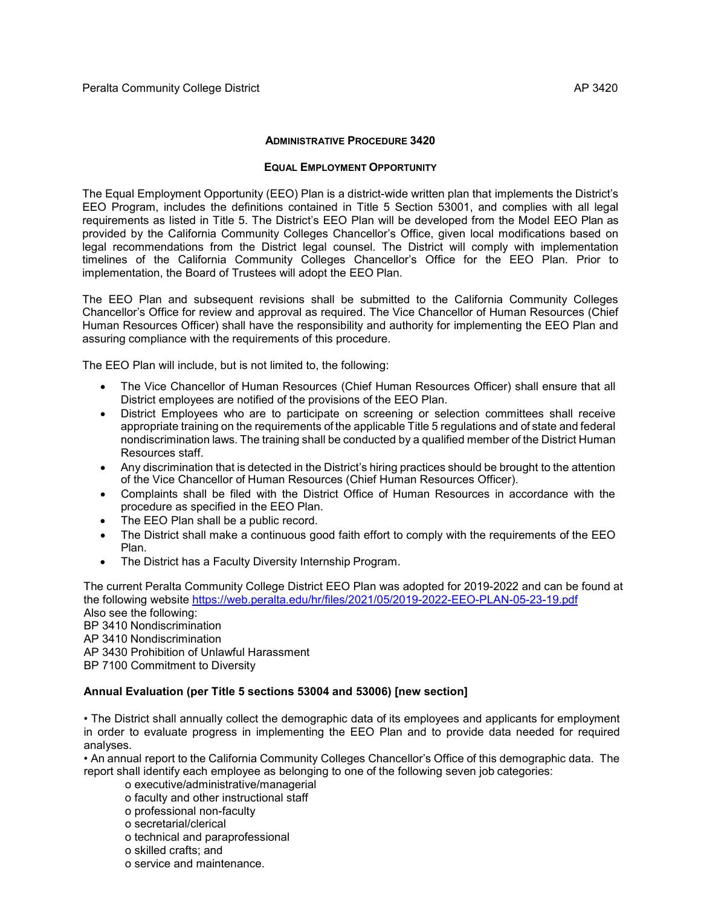#### **ADMINISTRATIVE PROCEDURE 3420**

#### **EQUAL EMPLOYMENT OPPORTUNITY**

The Equal Employment Opportunity (EEO) Plan is a district-wide written plan that implements the District's EEO Program, includes the definitions contained in Title 5 Section 53001, and complies with all legal requirements as listed in Title 5. The District's EEO Plan will be developed from the Model EEO Plan as provided by the California Community Colleges Chancellor's Office, given local modifications based on legal recommendations from the District legal counsel. The District will comply with implementation timelines of the California Community Colleges Chancellor's Office for the EEO Plan. Prior to implementation, the Board of Trustees will adopt the EEO Plan.

The EEO Plan and subsequent revisions shall be submitted to the California Community Colleges Chancellor's Office for review and approval as required. The Vice Chancellor of Human Resources (Chief Human Resources Officer) shall have the responsibility and authority for implementing the EEO Plan and assuring compliance with the requirements of this procedure.

The EEO Plan will include, but is not limited to, the following:

- The Vice Chancellor of Human Resources (Chief Human Resources Officer) shall ensure that all District employees are notified of the provisions of the EEO Plan.
- District Employees who are to participate on screening or selection committees shall receive appropriate training on the requirements of the applicable Title 5 regulations and of state and federal nondiscrimination laws. The training shall be conducted by a qualified member of the District Human Resources staff.
- Any discrimination that is detected in the District's hiring practices should be brought to the attention of the Vice Chancellor of Human Resources (Chief Human Resources Officer).
- Complaints shall be filed with the District Office of Human Resources in accordance with the procedure as specified in the EEO Plan.
- The EEO Plan shall be a public record.
- The District shall make a continuous good faith effort to comply with the requirements of the EEO Plan.
- The District has a Faculty Diversity Internship Program.

The current Peralta Community College District EEO Plan was adopted for 2019-2022 and can be found at the following website<https://web.peralta.edu/hr/files/2021/05/2019-2022-EEO-PLAN-05-23-19.pdf> Also see the following:

BP 3410 Nondiscrimination AP 3410 Nondiscrimination AP 3430 Prohibition of Unlawful Harassment BP 7100 Commitment to Diversity

## **Annual Evaluation (per Title 5 sections 53004 and 53006) [new section]**

• The District shall annually collect the demographic data of its employees and applicants for employment in order to evaluate progress in implementing the EEO Plan and to provide data needed for required analyses.

• An annual report to the California Community Colleges Chancellor's Office of this demographic data. The report shall identify each employee as belonging to one of the following seven job categories:

- o executive/administrative/managerial
- o faculty and other instructional staff
- o professional non-faculty
- o secretarial/clerical
- o technical and paraprofessional
- o skilled crafts; and
- o service and maintenance.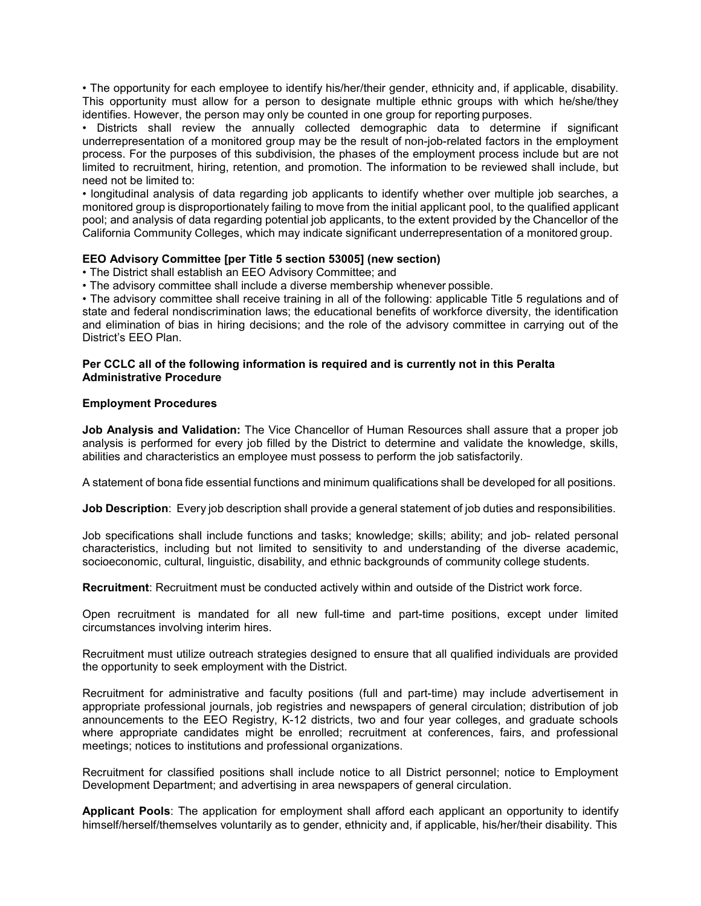• The opportunity for each employee to identify his/her/their gender, ethnicity and, if applicable, disability. This opportunity must allow for a person to designate multiple ethnic groups with which he/she/they identifies. However, the person may only be counted in one group for reporting purposes.

• Districts shall review the annually collected demographic data to determine if significant underrepresentation of a monitored group may be the result of non-job-related factors in the employment process. For the purposes of this subdivision, the phases of the employment process include but are not limited to recruitment, hiring, retention, and promotion. The information to be reviewed shall include, but need not be limited to:

• longitudinal analysis of data regarding job applicants to identify whether over multiple job searches, a monitored group is disproportionately failing to move from the initial applicant pool, to the qualified applicant pool; and analysis of data regarding potential job applicants, to the extent provided by the Chancellor of the California Community Colleges, which may indicate significant underrepresentation of a monitored group.

## **EEO Advisory Committee [per Title 5 section 53005] (new section)**

- The District shall establish an EEO Advisory Committee; and
- The advisory committee shall include a diverse membership whenever possible.

• The advisory committee shall receive training in all of the following: applicable Title 5 regulations and of state and federal nondiscrimination laws; the educational benefits of workforce diversity, the identification and elimination of bias in hiring decisions; and the role of the advisory committee in carrying out of the District's EEO Plan.

## **Per CCLC all of the following information is required and is currently not in this Peralta Administrative Procedure**

# **Employment Procedures**

**Job Analysis and Validation:** The Vice Chancellor of Human Resources shall assure that a proper job analysis is performed for every job filled by the District to determine and validate the knowledge, skills, abilities and characteristics an employee must possess to perform the job satisfactorily.

A statement of bona fide essential functions and minimum qualifications shall be developed for all positions.

**Job Description**: Every job description shall provide a general statement of job duties and responsibilities.

Job specifications shall include functions and tasks; knowledge; skills; ability; and job- related personal characteristics, including but not limited to sensitivity to and understanding of the diverse academic, socioeconomic, cultural, linguistic, disability, and ethnic backgrounds of community college students.

**Recruitment**: Recruitment must be conducted actively within and outside of the District work force.

Open recruitment is mandated for all new full-time and part-time positions, except under limited circumstances involving interim hires.

Recruitment must utilize outreach strategies designed to ensure that all qualified individuals are provided the opportunity to seek employment with the District.

Recruitment for administrative and faculty positions (full and part-time) may include advertisement in appropriate professional journals, job registries and newspapers of general circulation; distribution of job announcements to the EEO Registry, K-12 districts, two and four year colleges, and graduate schools where appropriate candidates might be enrolled; recruitment at conferences, fairs, and professional meetings; notices to institutions and professional organizations.

Recruitment for classified positions shall include notice to all District personnel; notice to Employment Development Department; and advertising in area newspapers of general circulation.

**Applicant Pools**: The application for employment shall afford each applicant an opportunity to identify himself/herself/themselves voluntarily as to gender, ethnicity and, if applicable, his/her/their disability. This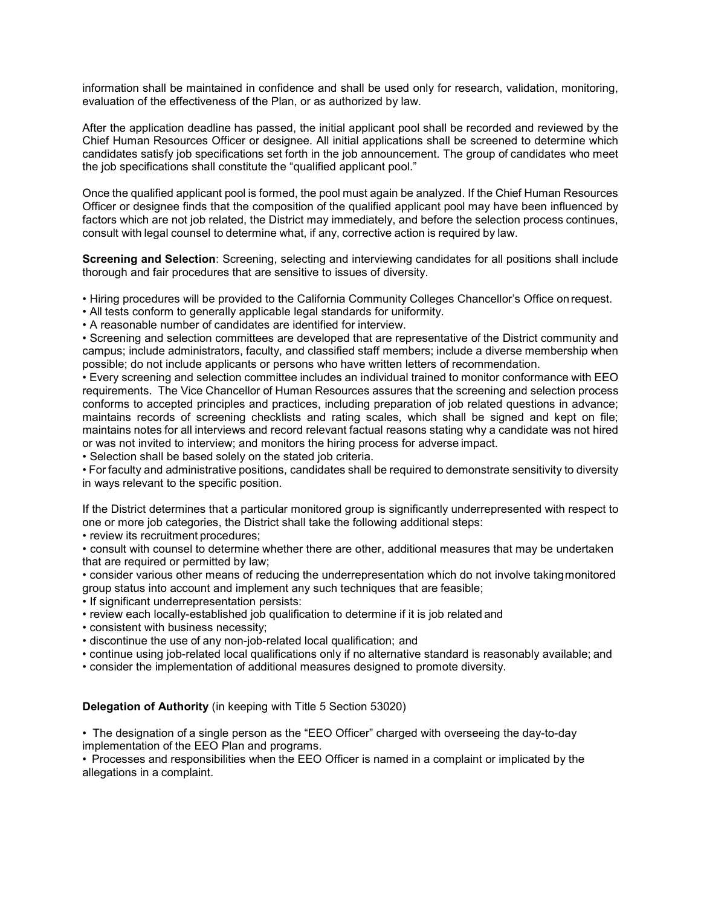information shall be maintained in confidence and shall be used only for research, validation, monitoring, evaluation of the effectiveness of the Plan, or as authorized by law.

After the application deadline has passed, the initial applicant pool shall be recorded and reviewed by the Chief Human Resources Officer or designee. All initial applications shall be screened to determine which candidates satisfy job specifications set forth in the job announcement. The group of candidates who meet the job specifications shall constitute the "qualified applicant pool."

Once the qualified applicant pool is formed, the pool must again be analyzed. If the Chief Human Resources Officer or designee finds that the composition of the qualified applicant pool may have been influenced by factors which are not job related, the District may immediately, and before the selection process continues, consult with legal counsel to determine what, if any, corrective action is required by law.

**Screening and Selection**: Screening, selecting and interviewing candidates for all positions shall include thorough and fair procedures that are sensitive to issues of diversity.

• Hiring procedures will be provided to the California Community Colleges Chancellor's Office onrequest.

• All tests conform to generally applicable legal standards for uniformity.

• A reasonable number of candidates are identified for interview.

• Screening and selection committees are developed that are representative of the District community and campus; include administrators, faculty, and classified staff members; include a diverse membership when possible; do not include applicants or persons who have written letters of recommendation.

• Every screening and selection committee includes an individual trained to monitor conformance with EEO requirements. The Vice Chancellor of Human Resources assures that the screening and selection process conforms to accepted principles and practices, including preparation of job related questions in advance; maintains records of screening checklists and rating scales, which shall be signed and kept on file; maintains notes for all interviews and record relevant factual reasons stating why a candidate was not hired or was not invited to interview; and monitors the hiring process for adverse impact.

• Selection shall be based solely on the stated job criteria.

• For faculty and administrative positions, candidates shall be required to demonstrate sensitivity to diversity in ways relevant to the specific position.

If the District determines that a particular monitored group is significantly underrepresented with respect to one or more job categories, the District shall take the following additional steps:

• review its recruitment procedures;

• consult with counsel to determine whether there are other, additional measures that may be undertaken that are required or permitted by law;

• consider various other means of reducing the underrepresentation which do not involve takingmonitored group status into account and implement any such techniques that are feasible;

• If significant underrepresentation persists:

- review each locally-established job qualification to determine if it is job related and
- consistent with business necessity;
- discontinue the use of any non-job-related local qualification; and
- continue using job-related local qualifications only if no alternative standard is reasonably available; and
- consider the implementation of additional measures designed to promote diversity.

## **Delegation of Authority** (in keeping with Title 5 Section 53020)

• The designation of a single person as the "EEO Officer" charged with overseeing the day-to-day implementation of the EEO Plan and programs.

• Processes and responsibilities when the EEO Officer is named in a complaint or implicated by the allegations in a complaint.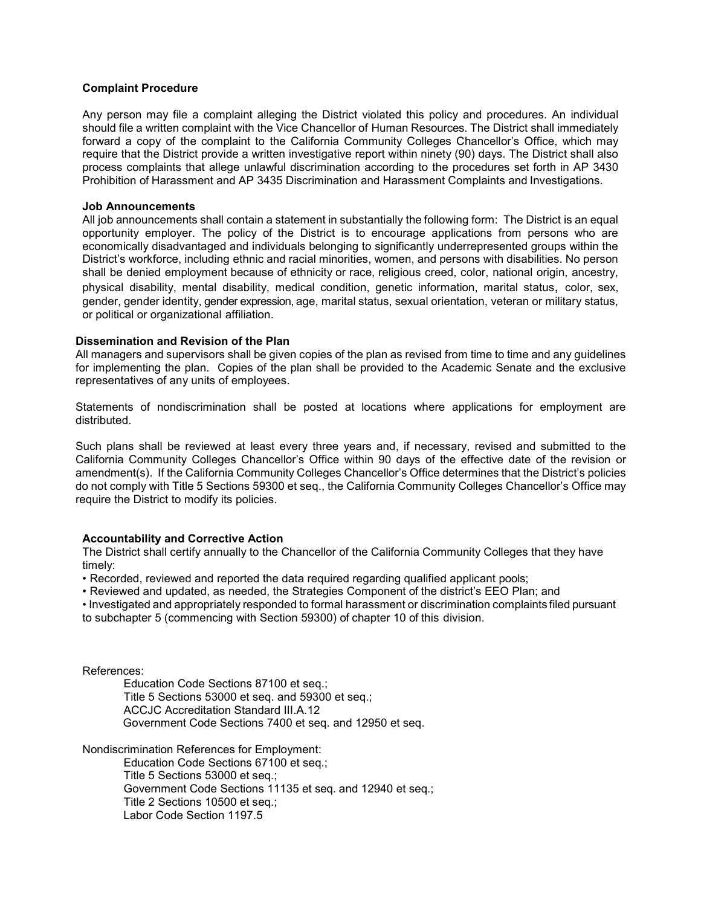#### **Complaint Procedure**

Any person may file a complaint alleging the District violated this policy and procedures. An individual should file a written complaint with the Vice Chancellor of Human Resources. The District shall immediately forward a copy of the complaint to the California Community Colleges Chancellor's Office, which may require that the District provide a written investigative report within ninety (90) days. The District shall also process complaints that allege unlawful discrimination according to the procedures set forth in AP 3430 Prohibition of Harassment and AP 3435 Discrimination and Harassment Complaints and Investigations.

#### **Job Announcements**

All job announcements shall contain a statement in substantially the following form: The District is an equal opportunity employer. The policy of the District is to encourage applications from persons who are economically disadvantaged and individuals belonging to significantly underrepresented groups within the District's workforce, including ethnic and racial minorities, women, and persons with disabilities. No person shall be denied employment because of ethnicity or race, religious creed, color, national origin, ancestry, physical disability, mental disability, medical condition, genetic information, marital status, color, sex, gender, gender identity, gender expression, age, marital status, sexual orientation, veteran or military status, or political or organizational affiliation.

#### **Dissemination and Revision of the Plan**

All managers and supervisors shall be given copies of the plan as revised from time to time and any guidelines for implementing the plan. Copies of the plan shall be provided to the Academic Senate and the exclusive representatives of any units of employees.

Statements of nondiscrimination shall be posted at locations where applications for employment are distributed.

Such plans shall be reviewed at least every three years and, if necessary, revised and submitted to the California Community Colleges Chancellor's Office within 90 days of the effective date of the revision or amendment(s). If the California Community Colleges Chancellor's Office determines that the District's policies do not comply with Title 5 Sections 59300 et seq., the California Community Colleges Chancellor's Office may require the District to modify its policies.

## **Accountability and Corrective Action**

The District shall certify annually to the Chancellor of the California Community Colleges that they have timely:

• Recorded, reviewed and reported the data required regarding qualified applicant pools;

• Reviewed and updated, as needed, the Strategies Component of the district's EEO Plan; and

• Investigated and appropriately responded to formal harassment or discrimination complaints filed pursuant to subchapter 5 (commencing with Section 59300) of chapter 10 of this division.

References:

Education Code Sections 87100 et seq.; Title 5 Sections 53000 et seq. and 59300 et seq.; ACCJC Accreditation Standard III.A.12 Government Code Sections 7400 et seq. and 12950 et seq.

Nondiscrimination References for Employment:

Education Code Sections 67100 et seq.; Title 5 Sections 53000 et seq.; Government Code Sections 11135 et seq. and 12940 et seq.; Title 2 Sections 10500 et seq.; Labor Code Section 1197.5